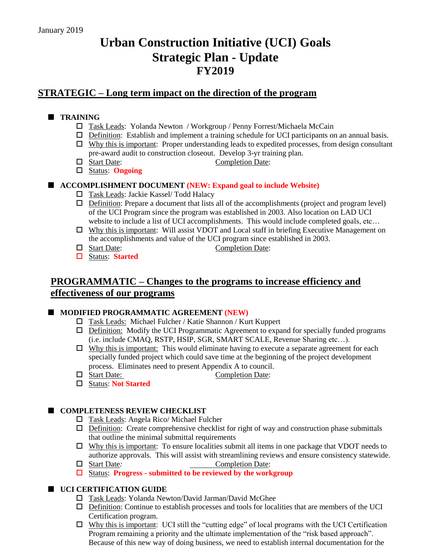# **Urban Construction Initiative (UCI) Goals Strategic Plan - Update FY2019**

# **STRATEGIC – Long term impact on the direction of the program**

# **TRAINING**

- Task Leads: Yolanda Newton / Workgroup / Penny Forrest/Michaela McCain
- $\Box$  Definition: Establish and implement a training schedule for UCI participants on an annual basis.
- $\Box$  Why this is important: Proper understanding leads to expedited processes, from design consultant pre-award audit to construction closeout. Develop 3-yr training plan.
- □ Start Date: Completion Date:
- Status: **Ongoing**

## **ACCOMPLISHMENT DOCUMENT (NEW: Expand goal to include Website)**

- □ Task Leads: Jackie Kassel/ Todd Halacy
- $\Box$  Definition: Prepare a document that lists all of the accomplishments (project and program level) of the UCI Program since the program was established in 2003. Also location on LAD UCI website to include a list of UCI accomplishments. This would include completed goals, etc...
- $\Box$  Why this is important: Will assist VDOT and Local staff in briefing Executive Management on the accomplishments and value of the UCI program since established in 2003.
- □ Start Date: Completion Date:
- Status: **Started**

# **PROGRAMMATIC – Changes to the programs to increase efficiency and effectiveness of our programs**

## **MODIFIED PROGRAMMATIC AGREEMENT (NEW)**

- Task Leads: Michael Fulcher / Katie Shannon / Kurt Kuppert
- $\Box$  Definition: Modify the UCI Programmatic Agreement to expand for specially funded programs (i.e. include CMAQ, RSTP, HSIP, SGR, SMART SCALE, Revenue Sharing etc…).
- $\Box$  Why this is important: This would eliminate having to execute a separate agreement for each specially funded project which could save time at the beginning of the project development process. Eliminates need to present Appendix A to council.
- Start Date: Completion Date:
	-

Status: **Not Started**

## **COMPLETENESS REVIEW CHECKLIST**

- Task Leads: Angela Rico/ Michael Fulcher
- $\Box$  Definition: Create comprehensive checklist for right of way and construction phase submittals that outline the minimal submittal requirements
- $\Box$  Why this is important: To ensure localities submit all items in one package that VDOT needs to authorize approvals. This will assist with streamlining reviews and ensure consistency statewide.
- Start Date*:* Completion Date:
- Status: **Progress - submitted to be reviewed by the workgroup**

## **UCI CERTIFICATION GUIDE**

- Task Leads: Yolanda Newton/David Jarman/David McGhee
- $\Box$  Definition: Continue to establish processes and tools for localities that are members of the UCI Certification program.
- Why this is important: UCI still the "cutting edge" of local programs with the UCI Certification Program remaining a priority and the ultimate implementation of the "risk based approach". Because of this new way of doing business, we need to establish internal documentation for the